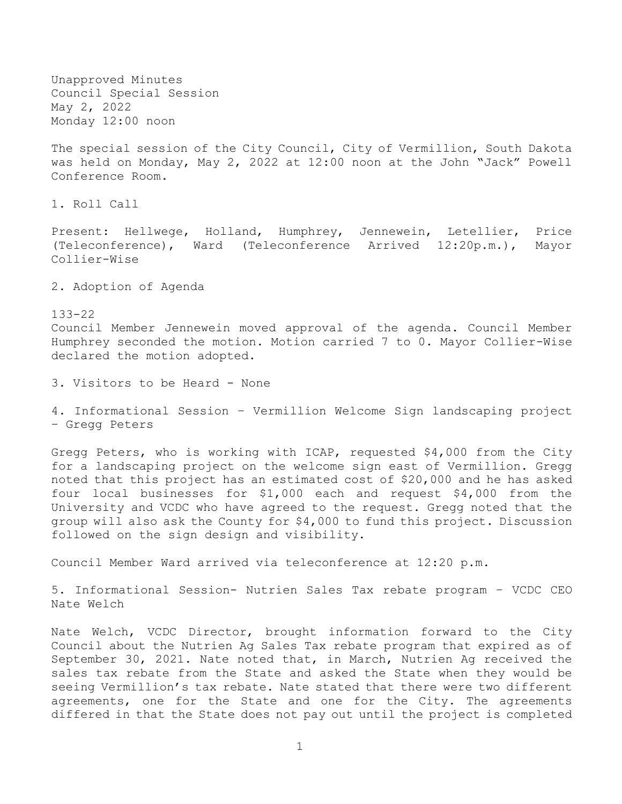Unapproved Minutes Council Special Session May 2, 2022 Monday 12:00 noon

The special session of the City Council, City of Vermillion, South Dakota was held on Monday, May 2, 2022 at 12:00 noon at the John "Jack" Powell Conference Room.

1. Roll Call

Present: Hellwege, Holland, Humphrey, Jennewein, Letellier, Price (Teleconference), Ward (Teleconference Arrived 12:20p.m.), Mayor Collier-Wise

2. Adoption of Agenda

133-22 Council Member Jennewein moved approval of the agenda. Council Member Humphrey seconded the motion. Motion carried 7 to 0. Mayor Collier-Wise declared the motion adopted.

3. Visitors to be Heard - None

4. Informational Session – Vermillion Welcome Sign landscaping project – Gregg Peters

Gregg Peters, who is working with ICAP, requested \$4,000 from the City for a landscaping project on the welcome sign east of Vermillion. Gregg noted that this project has an estimated cost of \$20,000 and he has asked four local businesses for \$1,000 each and request \$4,000 from the University and VCDC who have agreed to the request. Gregg noted that the group will also ask the County for \$4,000 to fund this project. Discussion followed on the sign design and visibility.

Council Member Ward arrived via teleconference at 12:20 p.m.

5. Informational Session- Nutrien Sales Tax rebate program – VCDC CEO Nate Welch

Nate Welch, VCDC Director, brought information forward to the City Council about the Nutrien Ag Sales Tax rebate program that expired as of September 30, 2021. Nate noted that, in March, Nutrien Ag received the sales tax rebate from the State and asked the State when they would be seeing Vermillion's tax rebate. Nate stated that there were two different agreements, one for the State and one for the City. The agreements differed in that the State does not pay out until the project is completed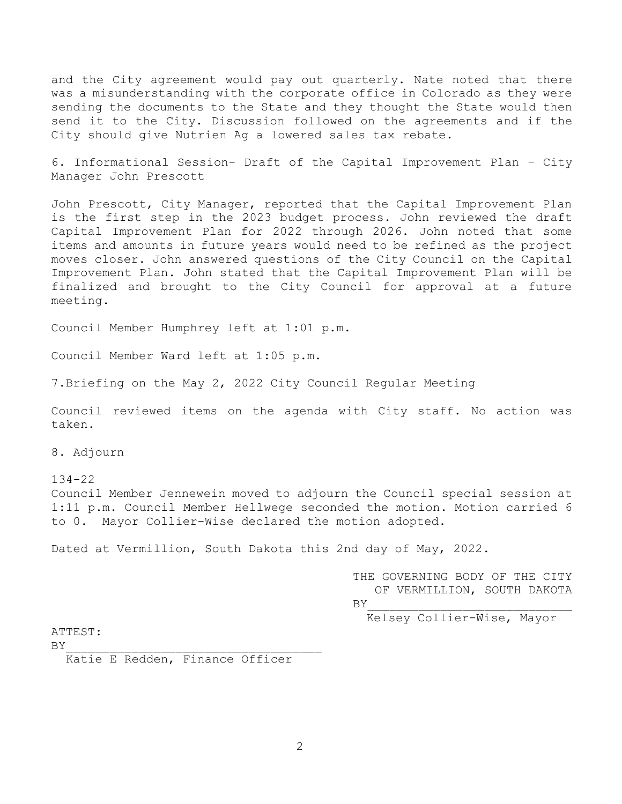and the City agreement would pay out quarterly. Nate noted that there was a misunderstanding with the corporate office in Colorado as they were sending the documents to the State and they thought the State would then send it to the City. Discussion followed on the agreements and if the City should give Nutrien Ag a lowered sales tax rebate.

6. Informational Session- Draft of the Capital Improvement Plan – City Manager John Prescott

John Prescott, City Manager, reported that the Capital Improvement Plan is the first step in the 2023 budget process. John reviewed the draft Capital Improvement Plan for 2022 through 2026. John noted that some items and amounts in future years would need to be refined as the project moves closer. John answered questions of the City Council on the Capital Improvement Plan. John stated that the Capital Improvement Plan will be finalized and brought to the City Council for approval at a future meeting.

Council Member Humphrey left at 1:01 p.m.

Council Member Ward left at 1:05 p.m.

7.Briefing on the May 2, 2022 City Council Regular Meeting

Council reviewed items on the agenda with City staff. No action was taken.

8. Adjourn

134-22 Council Member Jennewein moved to adjourn the Council special session at 1:11 p.m. Council Member Hellwege seconded the motion. Motion carried 6 to 0. Mayor Collier-Wise declared the motion adopted.

Dated at Vermillion, South Dakota this 2nd day of May, 2022.

THE GOVERNING BODY OF THE CITY OF VERMILLION, SOUTH DAKOTA  $BY$ 

Kelsey Collier-Wise, Mayor

ATTEST:

 $BY$ 

Katie E Redden, Finance Officer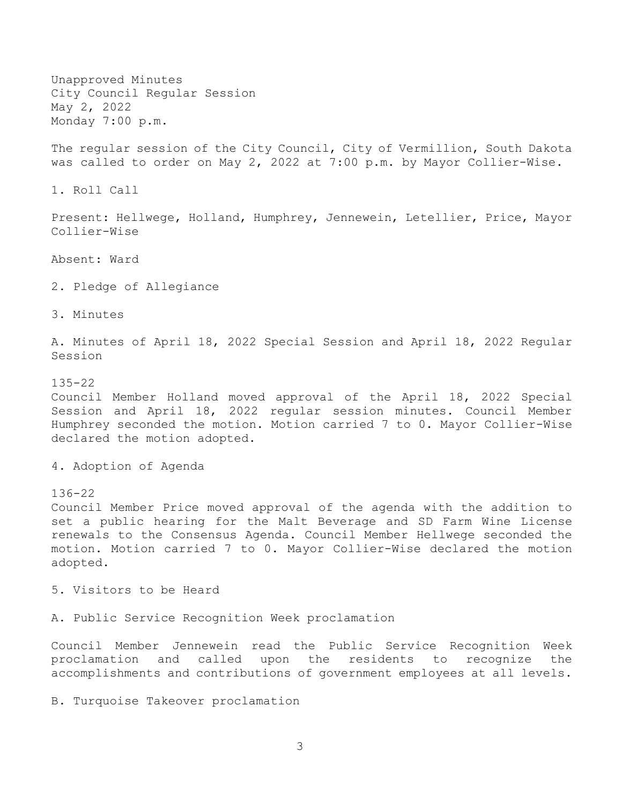Unapproved Minutes City Council Regular Session May 2, 2022 Monday 7:00 p.m.

The regular session of the City Council, City of Vermillion, South Dakota was called to order on May 2, 2022 at 7:00 p.m. by Mayor Collier-Wise.

1. Roll Call

Present: Hellwege, Holland, Humphrey, Jennewein, Letellier, Price, Mayor Collier-Wise

Absent: Ward

2. Pledge of Allegiance

3. Minutes

A. Minutes of April 18, 2022 Special Session and April 18, 2022 Regular Session

135-22 Council Member Holland moved approval of the April 18, 2022 Special Session and April 18, 2022 regular session minutes. Council Member Humphrey seconded the motion. Motion carried 7 to 0. Mayor Collier-Wise declared the motion adopted.

4. Adoption of Agenda

136-22

Council Member Price moved approval of the agenda with the addition to set a public hearing for the Malt Beverage and SD Farm Wine License renewals to the Consensus Agenda. Council Member Hellwege seconded the motion. Motion carried 7 to 0. Mayor Collier-Wise declared the motion adopted.

5. Visitors to be Heard

A. Public Service Recognition Week proclamation

Council Member Jennewein read the Public Service Recognition Week proclamation and called upon the residents to recognize the accomplishments and contributions of government employees at all levels.

B. Turquoise Takeover proclamation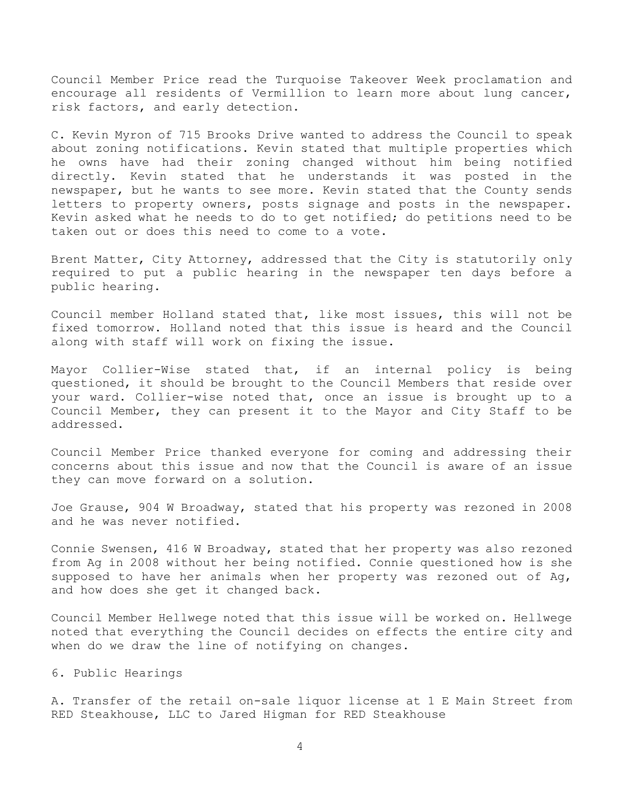Council Member Price read the Turquoise Takeover Week proclamation and encourage all residents of Vermillion to learn more about lung cancer, risk factors, and early detection.

C. Kevin Myron of 715 Brooks Drive wanted to address the Council to speak about zoning notifications. Kevin stated that multiple properties which he owns have had their zoning changed without him being notified directly. Kevin stated that he understands it was posted in the newspaper, but he wants to see more. Kevin stated that the County sends letters to property owners, posts signage and posts in the newspaper. Kevin asked what he needs to do to get notified; do petitions need to be taken out or does this need to come to a vote.

Brent Matter, City Attorney, addressed that the City is statutorily only required to put a public hearing in the newspaper ten days before a public hearing.

Council member Holland stated that, like most issues, this will not be fixed tomorrow. Holland noted that this issue is heard and the Council along with staff will work on fixing the issue.

Mayor Collier-Wise stated that, if an internal policy is being questioned, it should be brought to the Council Members that reside over your ward. Collier-wise noted that, once an issue is brought up to a Council Member, they can present it to the Mayor and City Staff to be addressed.

Council Member Price thanked everyone for coming and addressing their concerns about this issue and now that the Council is aware of an issue they can move forward on a solution.

Joe Grause, 904 W Broadway, stated that his property was rezoned in 2008 and he was never notified.

Connie Swensen, 416 W Broadway, stated that her property was also rezoned from Ag in 2008 without her being notified. Connie questioned how is she supposed to have her animals when her property was rezoned out of Ag, and how does she get it changed back.

Council Member Hellwege noted that this issue will be worked on. Hellwege noted that everything the Council decides on effects the entire city and when do we draw the line of notifying on changes.

# 6. Public Hearings

A. Transfer of the retail on-sale liquor license at 1 E Main Street from RED Steakhouse, LLC to Jared Higman for RED Steakhouse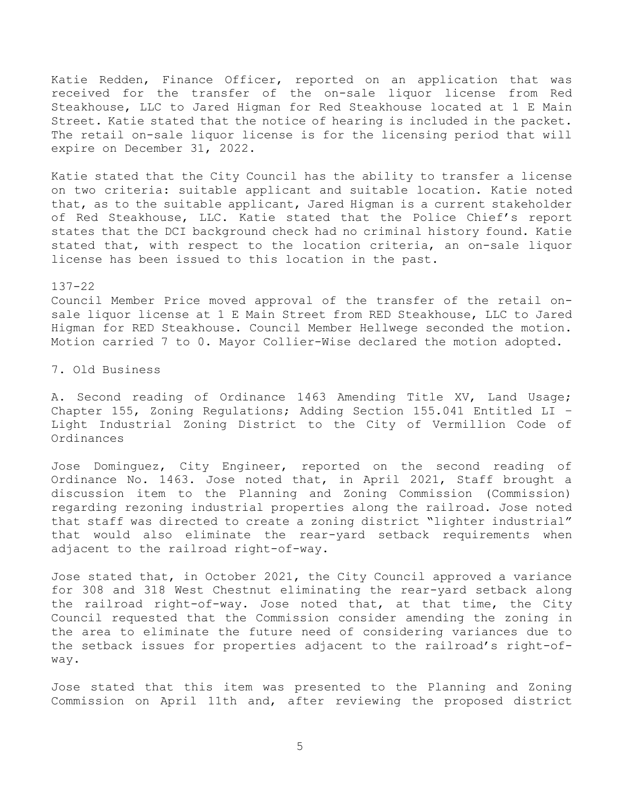Katie Redden, Finance Officer, reported on an application that was received for the transfer of the on-sale liquor license from Red Steakhouse, LLC to Jared Higman for Red Steakhouse located at 1 E Main Street. Katie stated that the notice of hearing is included in the packet. The retail on-sale liquor license is for the licensing period that will expire on December 31, 2022.

Katie stated that the City Council has the ability to transfer a license on two criteria: suitable applicant and suitable location. Katie noted that, as to the suitable applicant, Jared Higman is a current stakeholder of Red Steakhouse, LLC. Katie stated that the Police Chief's report states that the DCI background check had no criminal history found. Katie stated that, with respect to the location criteria, an on-sale liquor license has been issued to this location in the past.

## 137-22

Council Member Price moved approval of the transfer of the retail onsale liquor license at 1 E Main Street from RED Steakhouse, LLC to Jared Higman for RED Steakhouse. Council Member Hellwege seconded the motion. Motion carried 7 to 0. Mayor Collier-Wise declared the motion adopted.

7. Old Business

A. Second reading of Ordinance 1463 Amending Title XV, Land Usage; Chapter 155, Zoning Regulations; Adding Section 155.041 Entitled LI – Light Industrial Zoning District to the City of Vermillion Code of Ordinances

Jose Dominguez, City Engineer, reported on the second reading of Ordinance No. 1463. Jose noted that, in April 2021, Staff brought a discussion item to the Planning and Zoning Commission (Commission) regarding rezoning industrial properties along the railroad. Jose noted that staff was directed to create a zoning district "lighter industrial" that would also eliminate the rear-yard setback requirements when adjacent to the railroad right-of-way.

Jose stated that, in October 2021, the City Council approved a variance for 308 and 318 West Chestnut eliminating the rear-yard setback along the railroad right-of-way. Jose noted that, at that time, the City Council requested that the Commission consider amending the zoning in the area to eliminate the future need of considering variances due to the setback issues for properties adjacent to the railroad's right-ofway.

Jose stated that this item was presented to the Planning and Zoning Commission on April 11th and, after reviewing the proposed district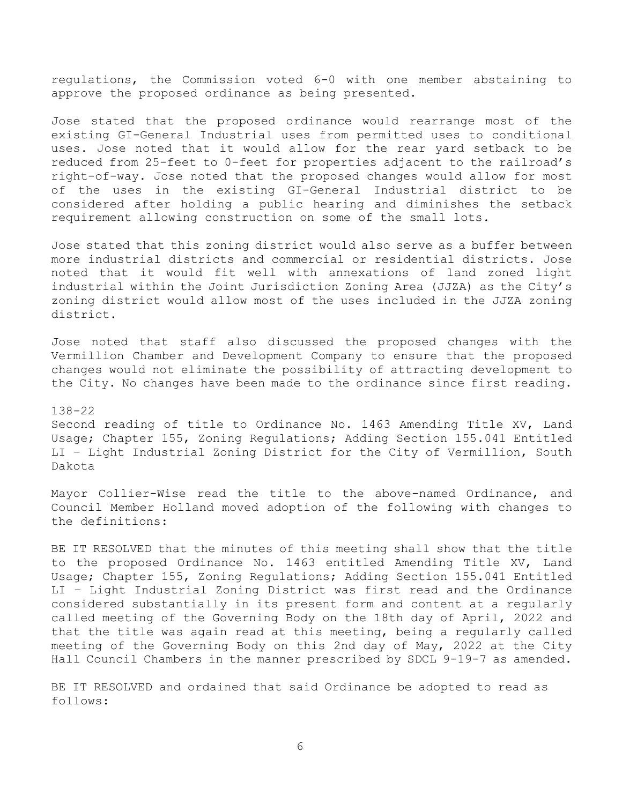regulations, the Commission voted 6-0 with one member abstaining to approve the proposed ordinance as being presented.

Jose stated that the proposed ordinance would rearrange most of the existing GI-General Industrial uses from permitted uses to conditional uses. Jose noted that it would allow for the rear yard setback to be reduced from 25-feet to 0-feet for properties adjacent to the railroad's right-of-way. Jose noted that the proposed changes would allow for most of the uses in the existing GI-General Industrial district to be considered after holding a public hearing and diminishes the setback requirement allowing construction on some of the small lots.

Jose stated that this zoning district would also serve as a buffer between more industrial districts and commercial or residential districts. Jose noted that it would fit well with annexations of land zoned light industrial within the Joint Jurisdiction Zoning Area (JJZA) as the City's zoning district would allow most of the uses included in the JJZA zoning district.

Jose noted that staff also discussed the proposed changes with the Vermillion Chamber and Development Company to ensure that the proposed changes would not eliminate the possibility of attracting development to the City. No changes have been made to the ordinance since first reading.

#### 138-22

Second reading of title to Ordinance No. 1463 Amending Title XV, Land Usage; Chapter 155, Zoning Regulations; Adding Section 155.041 Entitled LI – Light Industrial Zoning District for the City of Vermillion, South Dakota

Mayor Collier-Wise read the title to the above-named Ordinance, and Council Member Holland moved adoption of the following with changes to the definitions:

BE IT RESOLVED that the minutes of this meeting shall show that the title to the proposed Ordinance No. 1463 entitled Amending Title XV, Land Usage; Chapter 155, Zoning Regulations; Adding Section 155.041 Entitled LI – Light Industrial Zoning District was first read and the Ordinance considered substantially in its present form and content at a regularly called meeting of the Governing Body on the 18th day of April, 2022 and that the title was again read at this meeting, being a regularly called meeting of the Governing Body on this 2nd day of May, 2022 at the City Hall Council Chambers in the manner prescribed by SDCL 9-19-7 as amended.

BE IT RESOLVED and ordained that said Ordinance be adopted to read as follows: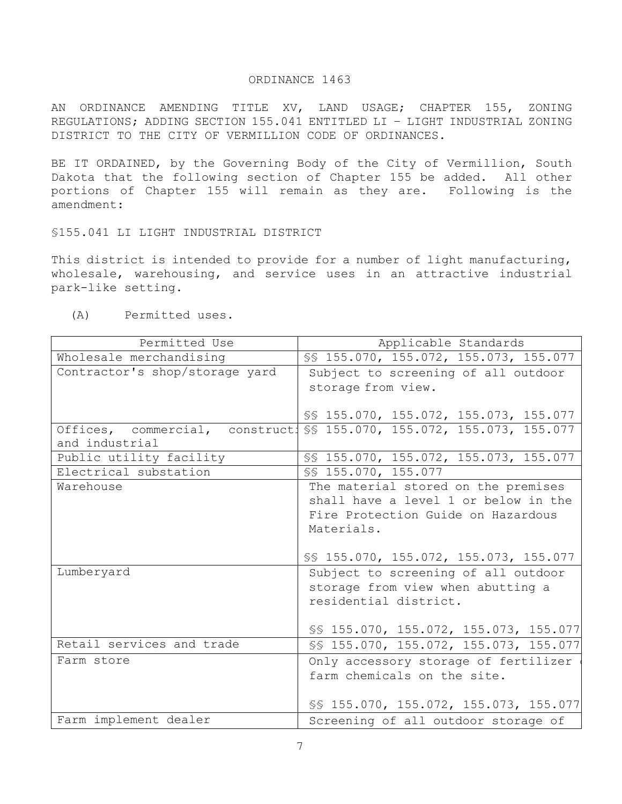### ORDINANCE 1463

AN ORDINANCE AMENDING TITLE XV, LAND USAGE; CHAPTER 155, ZONING REGULATIONS; ADDING SECTION 155.041 ENTITLED LI – LIGHT INDUSTRIAL ZONING DISTRICT TO THE CITY OF VERMILLION CODE OF ORDINANCES.

BE IT ORDAINED, by the Governing Body of the City of Vermillion, South Dakota that the following section of Chapter 155 be added. All other portions of Chapter 155 will remain as they are. Following is the amendment:

§155.041 LI LIGHT INDUSTRIAL DISTRICT

This district is intended to provide for a number of light manufacturing, wholesale, warehousing, and service uses in an attractive industrial park-like setting.

(A) Permitted uses.

| Permitted Use                                                | Applicable Standards                                                  |  |  |  |
|--------------------------------------------------------------|-----------------------------------------------------------------------|--|--|--|
| Wholesale merchandising                                      | SS 155.070, 155.072, 155.073, 155.077                                 |  |  |  |
| Contractor's shop/storage yard                               | Subject to screening of all outdoor                                   |  |  |  |
|                                                              | storage from view.                                                    |  |  |  |
|                                                              |                                                                       |  |  |  |
|                                                              | SS 155.070, 155.072, 155.073, 155.077                                 |  |  |  |
|                                                              | Offices, commercial, constructi SS 155.070, 155.072, 155.073, 155.077 |  |  |  |
| and industrial                                               |                                                                       |  |  |  |
| Public utility facility                                      | SS 155.070, 155.072, 155.073, 155.077                                 |  |  |  |
| Electrical substation                                        | SS 155.070, 155.077                                                   |  |  |  |
| Warehouse                                                    | The material stored on the premises                                   |  |  |  |
|                                                              | shall have a level 1 or below in the                                  |  |  |  |
|                                                              | Fire Protection Guide on Hazardous                                    |  |  |  |
|                                                              | Materials.                                                            |  |  |  |
|                                                              |                                                                       |  |  |  |
|                                                              | SS 155.070, 155.072, 155.073, 155.077                                 |  |  |  |
| Lumberyard                                                   | Subject to screening of all outdoor                                   |  |  |  |
|                                                              | storage from view when abutting a                                     |  |  |  |
|                                                              | residential district.                                                 |  |  |  |
|                                                              |                                                                       |  |  |  |
|                                                              | SS 155.070, 155.072, 155.073, 155.077                                 |  |  |  |
| Retail services and trade                                    | SS 155.070, 155.072, 155.073, 155.077                                 |  |  |  |
| Farm store                                                   | Only accessory storage of fertilizer                                  |  |  |  |
|                                                              | farm chemicals on the site.                                           |  |  |  |
|                                                              |                                                                       |  |  |  |
|                                                              | SS 155.070, 155.072, 155.073, 155.077                                 |  |  |  |
| Farm implement dealer<br>Screening of all outdoor storage of |                                                                       |  |  |  |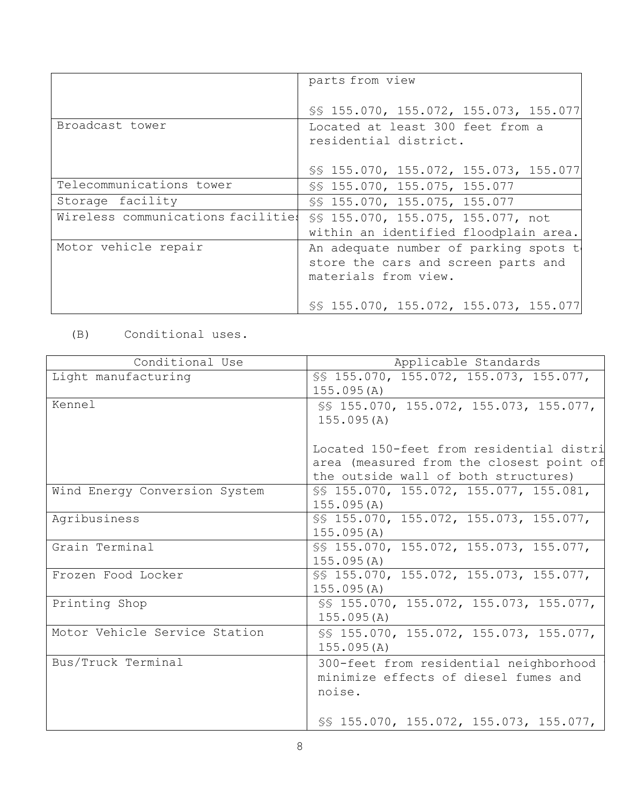|                                    | parts from view                       |  |  |  |
|------------------------------------|---------------------------------------|--|--|--|
|                                    | SS 155.070, 155.072, 155.073, 155.077 |  |  |  |
| Broadcast tower                    | Located at least 300 feet from a      |  |  |  |
|                                    | residential district.                 |  |  |  |
|                                    |                                       |  |  |  |
|                                    | SS 155.070, 155.072, 155.073, 155.077 |  |  |  |
| Telecommunications tower           | SS 155.070, 155.075, 155.077          |  |  |  |
| Storage facility                   | SS 155.070, 155.075, 155.077          |  |  |  |
| Wireless communications facilities | SS 155.070, 155.075, 155.077, not     |  |  |  |
|                                    | within an identified floodplain area. |  |  |  |
| Motor vehicle repair               | An adequate number of parking spots t |  |  |  |
|                                    | store the cars and screen parts and   |  |  |  |
|                                    | materials from view.                  |  |  |  |
|                                    |                                       |  |  |  |
|                                    | SS 155.070, 155.072, 155.073, 155.077 |  |  |  |

# (B) Conditional uses.

| Applicable Standards                                                                                                               |
|------------------------------------------------------------------------------------------------------------------------------------|
| SS 155.070, 155.072, 155.073, 155.077,<br>155.095(A)                                                                               |
| SS 155.070, 155.072, 155.073, 155.077,<br>155.095(A)                                                                               |
| Located 150-feet from residential distri<br>area (measured from the closest point of<br>the outside wall of both structures)       |
| SS 155.070, 155.072, 155.077, 155.081,<br>155.095(A)                                                                               |
| SS 155.070, 155.072, 155.073, 155.077,<br>155.095(A)                                                                               |
| SS 155.070, 155.072, 155.073, 155.077,<br>155.095(A)                                                                               |
| SS 155.070, 155.072, 155.073, 155.077,<br>155.095(A)                                                                               |
| SS 155.070, 155.072, 155.073, 155.077,<br>155.095(A)                                                                               |
| SS 155.070, 155.072, 155.073, 155.077,<br>155.095(A)                                                                               |
| 300-feet from residential neighborhood<br>minimize effects of diesel fumes and<br>noise.<br>SS 155.070, 155.072, 155.073, 155.077, |
|                                                                                                                                    |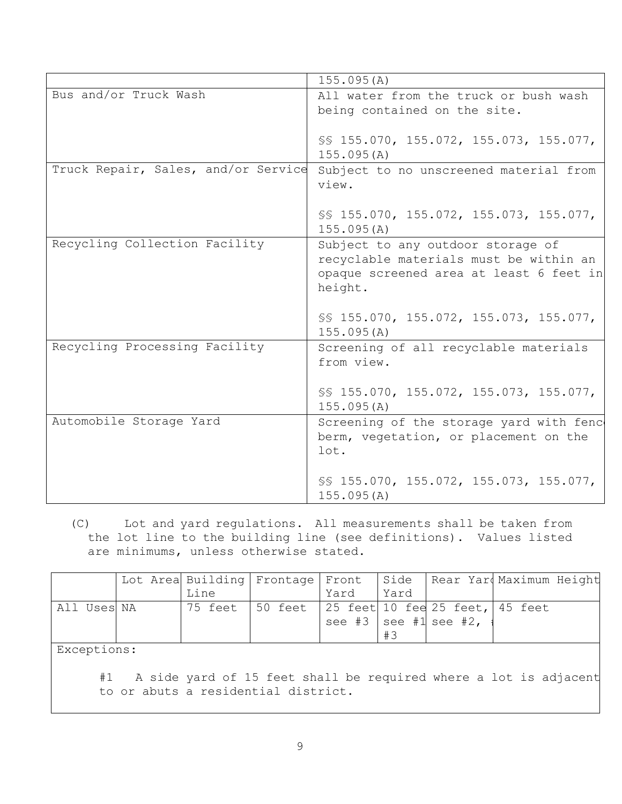|                                     | 155.095(A)                              |  |  |  |
|-------------------------------------|-----------------------------------------|--|--|--|
| Bus and/or Truck Wash               | All water from the truck or bush wash   |  |  |  |
|                                     | being contained on the site.            |  |  |  |
|                                     |                                         |  |  |  |
|                                     | SS 155.070, 155.072, 155.073, 155.077,  |  |  |  |
|                                     | 155.095(A)                              |  |  |  |
| Truck Repair, Sales, and/or Service | Subject to no unscreened material from  |  |  |  |
|                                     | view.                                   |  |  |  |
|                                     |                                         |  |  |  |
|                                     | SS 155.070, 155.072, 155.073, 155.077,  |  |  |  |
|                                     | 155.095(A)                              |  |  |  |
| Recycling Collection Facility       | Subject to any outdoor storage of       |  |  |  |
|                                     | recyclable materials must be within an  |  |  |  |
|                                     | opaque screened area at least 6 feet in |  |  |  |
|                                     | height.                                 |  |  |  |
|                                     |                                         |  |  |  |
|                                     | SS 155.070, 155.072, 155.073, 155.077,  |  |  |  |
|                                     | 155.095(A)                              |  |  |  |
| Recycling Processing Facility       | Screening of all recyclable materials   |  |  |  |
|                                     | from view.                              |  |  |  |
|                                     |                                         |  |  |  |
|                                     | SS 155.070, 155.072, 155.073, 155.077,  |  |  |  |
|                                     | 155.095(A)                              |  |  |  |
| Automobile Storage Yard             | Screening of the storage yard with fenc |  |  |  |
|                                     | berm, vegetation, or placement on the   |  |  |  |
|                                     | lot.                                    |  |  |  |
|                                     |                                         |  |  |  |
|                                     | SS 155.070, 155.072, 155.073, 155.077,  |  |  |  |
|                                     | 155.095(A)                              |  |  |  |

(C) Lot and yard regulations. All measurements shall be taken from the lot line to the building line (see definitions). Values listed are minimums, unless otherwise stated.

|             |  |      | Lot Area Building Frontage Front   Side   Rear Yar Maximum Height |      |      |                         |  |
|-------------|--|------|-------------------------------------------------------------------|------|------|-------------------------|--|
|             |  | Line |                                                                   | Yard | Yard |                         |  |
| All Uses NA |  |      |                                                                   |      |      |                         |  |
|             |  |      |                                                                   |      |      | see #3   see #1 see #2, |  |
|             |  |      |                                                                   |      | #3   |                         |  |

Exceptions:

#1 A side yard of 15 feet shall be required where a lot is adjacent to or abuts a residential district.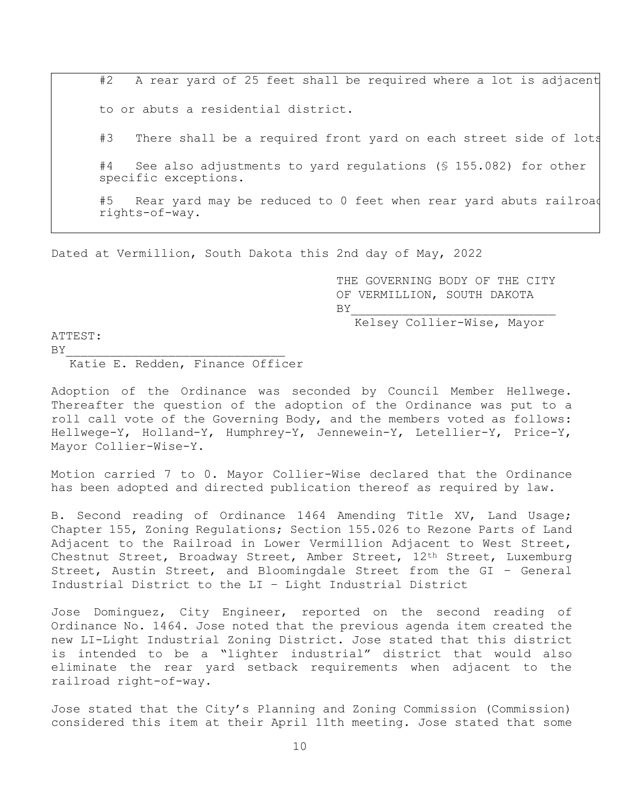#2 A rear yard of 25 feet shall be required where a lot is adjacent to or abuts a residential district. #3 There shall be a required front yard on each street side of lots

#4 See also adjustments to yard regulations (§ 155.082) for other specific exceptions.

#5 Rear yard may be reduced to 0 feet when rear yard abuts railroad rights-of-way.

Dated at Vermillion, South Dakota this 2nd day of May, 2022

 THE GOVERNING BODY OF THE CITY OF VERMILLION, SOUTH DAKOTA  $BY$ 

Kelsey Collier-Wise, Mayor

ATTEST:

Katie E. Redden, Finance Officer

 $BY$ 

Adoption of the Ordinance was seconded by Council Member Hellwege. Thereafter the question of the adoption of the Ordinance was put to a roll call vote of the Governing Body, and the members voted as follows: Hellwege-Y, Holland-Y, Humphrey-Y, Jennewein-Y, Letellier-Y, Price-Y, Mayor Collier-Wise-Y.

Motion carried 7 to 0. Mayor Collier-Wise declared that the Ordinance has been adopted and directed publication thereof as required by law.

B. Second reading of Ordinance 1464 Amending Title XV, Land Usage; Chapter 155, Zoning Regulations; Section 155.026 to Rezone Parts of Land Adjacent to the Railroad in Lower Vermillion Adjacent to West Street, Chestnut Street, Broadway Street, Amber Street, 12th Street, Luxemburg Street, Austin Street, and Bloomingdale Street from the GI – General Industrial District to the LI – Light Industrial District

Jose Dominguez, City Engineer, reported on the second reading of Ordinance No. 1464. Jose noted that the previous agenda item created the new LI-Light Industrial Zoning District. Jose stated that this district is intended to be a "lighter industrial" district that would also eliminate the rear yard setback requirements when adjacent to the railroad right-of-way.

Jose stated that the City's Planning and Zoning Commission (Commission) considered this item at their April 11th meeting. Jose stated that some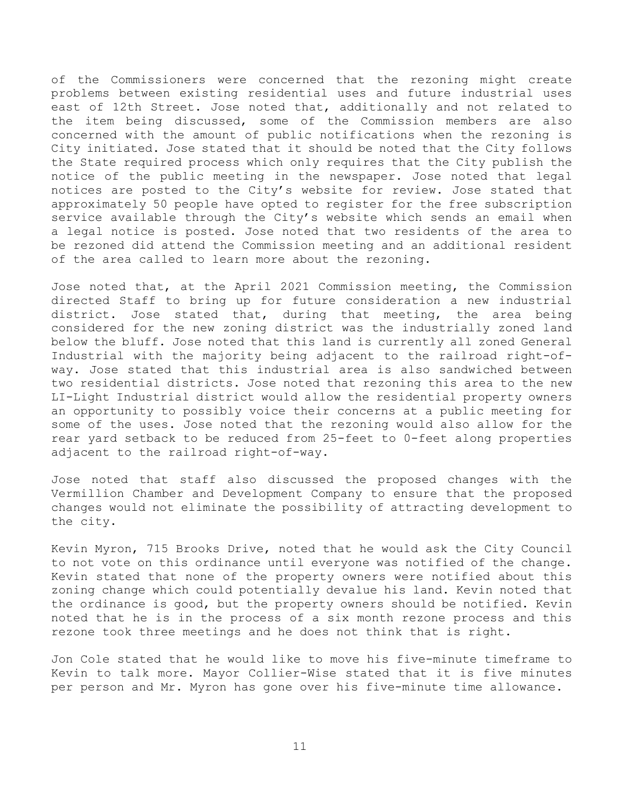of the Commissioners were concerned that the rezoning might create problems between existing residential uses and future industrial uses east of 12th Street. Jose noted that, additionally and not related to the item being discussed, some of the Commission members are also concerned with the amount of public notifications when the rezoning is City initiated. Jose stated that it should be noted that the City follows the State required process which only requires that the City publish the notice of the public meeting in the newspaper. Jose noted that legal notices are posted to the City's website for review. Jose stated that approximately 50 people have opted to register for the free subscription service available through the City's website which sends an email when a legal notice is posted. Jose noted that two residents of the area to be rezoned did attend the Commission meeting and an additional resident of the area called to learn more about the rezoning.

Jose noted that, at the April 2021 Commission meeting, the Commission directed Staff to bring up for future consideration a new industrial district. Jose stated that, during that meeting, the area being considered for the new zoning district was the industrially zoned land below the bluff. Jose noted that this land is currently all zoned General Industrial with the majority being adjacent to the railroad right-ofway. Jose stated that this industrial area is also sandwiched between two residential districts. Jose noted that rezoning this area to the new LI-Light Industrial district would allow the residential property owners an opportunity to possibly voice their concerns at a public meeting for some of the uses. Jose noted that the rezoning would also allow for the rear yard setback to be reduced from 25-feet to 0-feet along properties adjacent to the railroad right-of-way.

Jose noted that staff also discussed the proposed changes with the Vermillion Chamber and Development Company to ensure that the proposed changes would not eliminate the possibility of attracting development to the city.

Kevin Myron, 715 Brooks Drive, noted that he would ask the City Council to not vote on this ordinance until everyone was notified of the change. Kevin stated that none of the property owners were notified about this zoning change which could potentially devalue his land. Kevin noted that the ordinance is good, but the property owners should be notified. Kevin noted that he is in the process of a six month rezone process and this rezone took three meetings and he does not think that is right.

Jon Cole stated that he would like to move his five-minute timeframe to Kevin to talk more. Mayor Collier-Wise stated that it is five minutes per person and Mr. Myron has gone over his five-minute time allowance.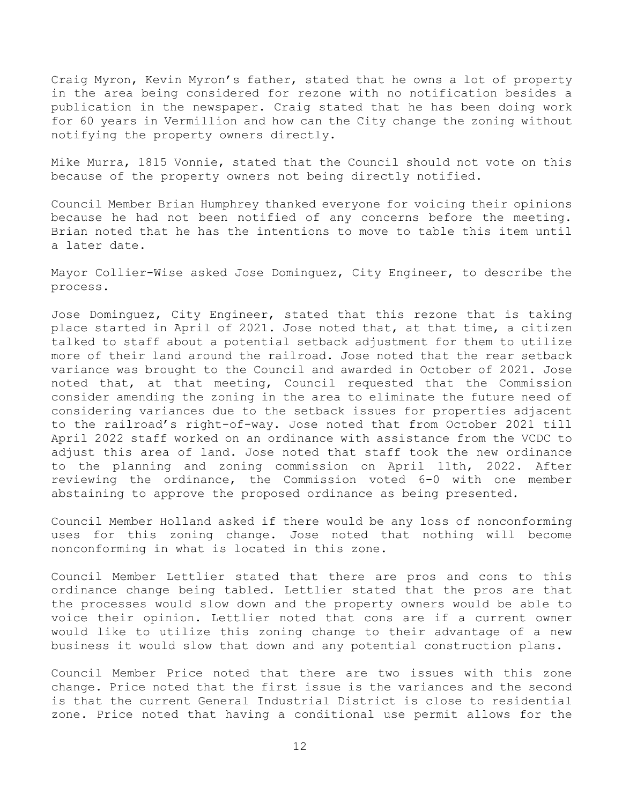Craig Myron, Kevin Myron's father, stated that he owns a lot of property in the area being considered for rezone with no notification besides a publication in the newspaper. Craig stated that he has been doing work for 60 years in Vermillion and how can the City change the zoning without notifying the property owners directly.

Mike Murra, 1815 Vonnie, stated that the Council should not vote on this because of the property owners not being directly notified.

Council Member Brian Humphrey thanked everyone for voicing their opinions because he had not been notified of any concerns before the meeting. Brian noted that he has the intentions to move to table this item until a later date.

Mayor Collier-Wise asked Jose Dominguez, City Engineer, to describe the process.

Jose Dominguez, City Engineer, stated that this rezone that is taking place started in April of 2021. Jose noted that, at that time, a citizen talked to staff about a potential setback adjustment for them to utilize more of their land around the railroad. Jose noted that the rear setback variance was brought to the Council and awarded in October of 2021. Jose noted that, at that meeting, Council requested that the Commission consider amending the zoning in the area to eliminate the future need of considering variances due to the setback issues for properties adjacent to the railroad's right-of-way. Jose noted that from October 2021 till April 2022 staff worked on an ordinance with assistance from the VCDC to adjust this area of land. Jose noted that staff took the new ordinance to the planning and zoning commission on April 11th, 2022. After reviewing the ordinance, the Commission voted 6-0 with one member abstaining to approve the proposed ordinance as being presented.

Council Member Holland asked if there would be any loss of nonconforming uses for this zoning change. Jose noted that nothing will become nonconforming in what is located in this zone.

Council Member Lettlier stated that there are pros and cons to this ordinance change being tabled. Lettlier stated that the pros are that the processes would slow down and the property owners would be able to voice their opinion. Lettlier noted that cons are if a current owner would like to utilize this zoning change to their advantage of a new business it would slow that down and any potential construction plans.

Council Member Price noted that there are two issues with this zone change. Price noted that the first issue is the variances and the second is that the current General Industrial District is close to residential zone. Price noted that having a conditional use permit allows for the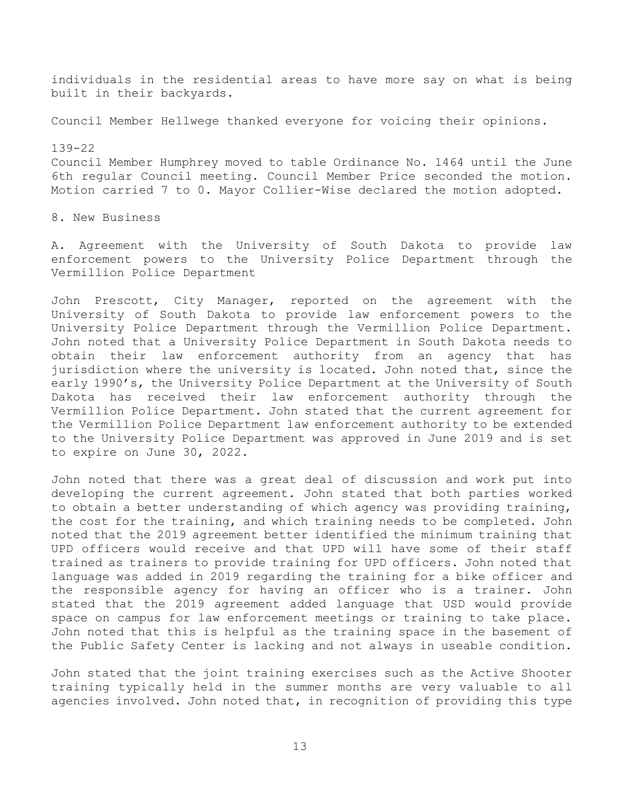individuals in the residential areas to have more say on what is being built in their backyards.

Council Member Hellwege thanked everyone for voicing their opinions.

139-22 Council Member Humphrey moved to table Ordinance No. 1464 until the June 6th regular Council meeting. Council Member Price seconded the motion. Motion carried 7 to 0. Mayor Collier-Wise declared the motion adopted.

8. New Business

A. Agreement with the University of South Dakota to provide law enforcement powers to the University Police Department through the Vermillion Police Department

John Prescott, City Manager, reported on the agreement with the University of South Dakota to provide law enforcement powers to the University Police Department through the Vermillion Police Department. John noted that a University Police Department in South Dakota needs to obtain their law enforcement authority from an agency that has jurisdiction where the university is located. John noted that, since the early 1990's, the University Police Department at the University of South Dakota has received their law enforcement authority through the Vermillion Police Department. John stated that the current agreement for the Vermillion Police Department law enforcement authority to be extended to the University Police Department was approved in June 2019 and is set to expire on June 30, 2022.

John noted that there was a great deal of discussion and work put into developing the current agreement. John stated that both parties worked to obtain a better understanding of which agency was providing training, the cost for the training, and which training needs to be completed. John noted that the 2019 agreement better identified the minimum training that UPD officers would receive and that UPD will have some of their staff trained as trainers to provide training for UPD officers. John noted that language was added in 2019 regarding the training for a bike officer and the responsible agency for having an officer who is a trainer. John stated that the 2019 agreement added language that USD would provide space on campus for law enforcement meetings or training to take place. John noted that this is helpful as the training space in the basement of the Public Safety Center is lacking and not always in useable condition.

John stated that the joint training exercises such as the Active Shooter training typically held in the summer months are very valuable to all agencies involved. John noted that, in recognition of providing this type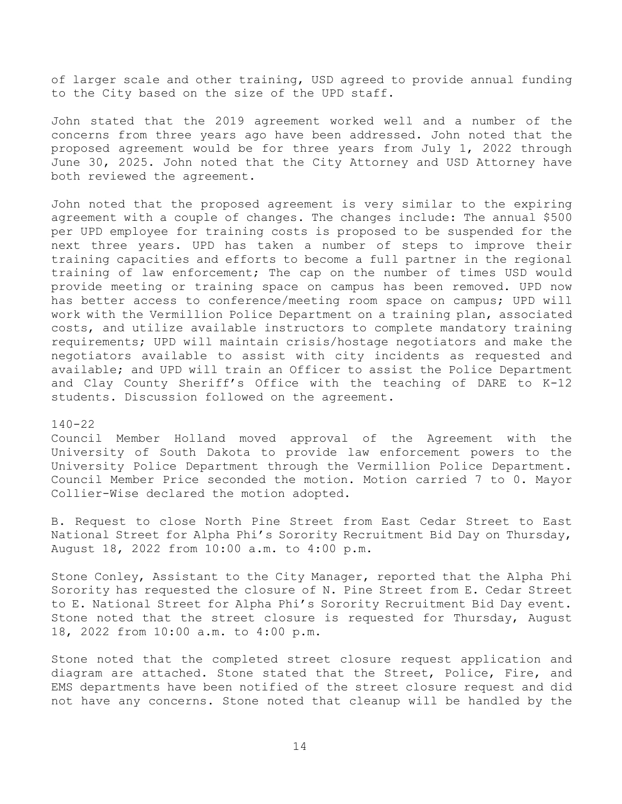of larger scale and other training, USD agreed to provide annual funding to the City based on the size of the UPD staff.

John stated that the 2019 agreement worked well and a number of the concerns from three years ago have been addressed. John noted that the proposed agreement would be for three years from July 1, 2022 through June 30, 2025. John noted that the City Attorney and USD Attorney have both reviewed the agreement.

John noted that the proposed agreement is very similar to the expiring agreement with a couple of changes. The changes include: The annual \$500 per UPD employee for training costs is proposed to be suspended for the next three years. UPD has taken a number of steps to improve their training capacities and efforts to become a full partner in the regional training of law enforcement; The cap on the number of times USD would provide meeting or training space on campus has been removed. UPD now has better access to conference/meeting room space on campus; UPD will work with the Vermillion Police Department on a training plan, associated costs, and utilize available instructors to complete mandatory training requirements; UPD will maintain crisis/hostage negotiators and make the negotiators available to assist with city incidents as requested and available; and UPD will train an Officer to assist the Police Department and Clay County Sheriff's Office with the teaching of DARE to K-12 students. Discussion followed on the agreement.

### 140-22

Council Member Holland moved approval of the Agreement with the University of South Dakota to provide law enforcement powers to the University Police Department through the Vermillion Police Department. Council Member Price seconded the motion. Motion carried 7 to 0. Mayor Collier-Wise declared the motion adopted.

B. Request to close North Pine Street from East Cedar Street to East National Street for Alpha Phi's Sorority Recruitment Bid Day on Thursday, August 18, 2022 from 10:00 a.m. to 4:00 p.m.

Stone Conley, Assistant to the City Manager, reported that the Alpha Phi Sorority has requested the closure of N. Pine Street from E. Cedar Street to E. National Street for Alpha Phi's Sorority Recruitment Bid Day event. Stone noted that the street closure is requested for Thursday, August 18, 2022 from 10:00 a.m. to 4:00 p.m.

Stone noted that the completed street closure request application and diagram are attached. Stone stated that the Street, Police, Fire, and EMS departments have been notified of the street closure request and did not have any concerns. Stone noted that cleanup will be handled by the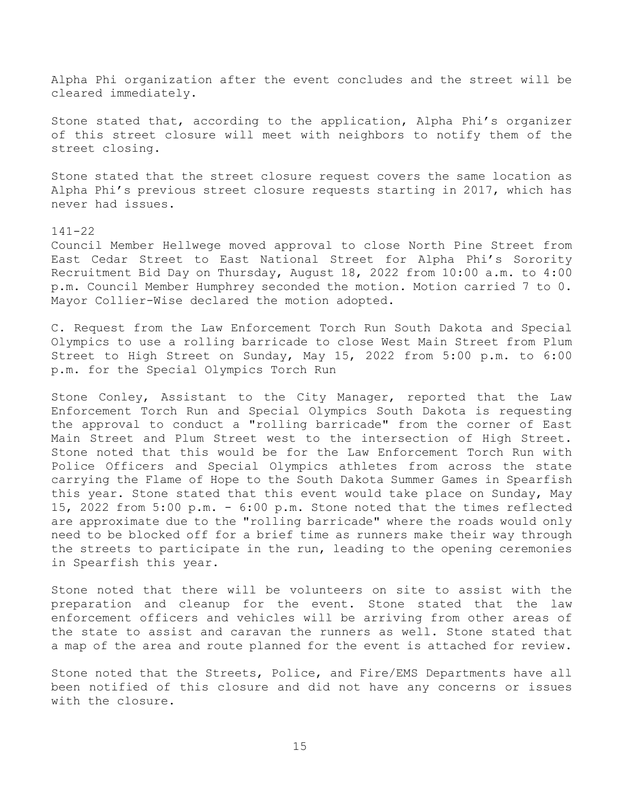Alpha Phi organization after the event concludes and the street will be cleared immediately.

Stone stated that, according to the application, Alpha Phi's organizer of this street closure will meet with neighbors to notify them of the street closing.

Stone stated that the street closure request covers the same location as Alpha Phi's previous street closure requests starting in 2017, which has never had issues.

#### 141-22

Council Member Hellwege moved approval to close North Pine Street from East Cedar Street to East National Street for Alpha Phi's Sorority Recruitment Bid Day on Thursday, August 18, 2022 from 10:00 a.m. to 4:00 p.m. Council Member Humphrey seconded the motion. Motion carried 7 to 0. Mayor Collier-Wise declared the motion adopted.

C. Request from the Law Enforcement Torch Run South Dakota and Special Olympics to use a rolling barricade to close West Main Street from Plum Street to High Street on Sunday, May 15, 2022 from 5:00 p.m. to 6:00 p.m. for the Special Olympics Torch Run

Stone Conley, Assistant to the City Manager, reported that the Law Enforcement Torch Run and Special Olympics South Dakota is requesting the approval to conduct a "rolling barricade" from the corner of East Main Street and Plum Street west to the intersection of High Street. Stone noted that this would be for the Law Enforcement Torch Run with Police Officers and Special Olympics athletes from across the state carrying the Flame of Hope to the South Dakota Summer Games in Spearfish this year. Stone stated that this event would take place on Sunday, May 15, 2022 from 5:00 p.m. - 6:00 p.m. Stone noted that the times reflected are approximate due to the "rolling barricade" where the roads would only need to be blocked off for a brief time as runners make their way through the streets to participate in the run, leading to the opening ceremonies in Spearfish this year.

Stone noted that there will be volunteers on site to assist with the preparation and cleanup for the event. Stone stated that the law enforcement officers and vehicles will be arriving from other areas of the state to assist and caravan the runners as well. Stone stated that a map of the area and route planned for the event is attached for review.

Stone noted that the Streets, Police, and Fire/EMS Departments have all been notified of this closure and did not have any concerns or issues with the closure.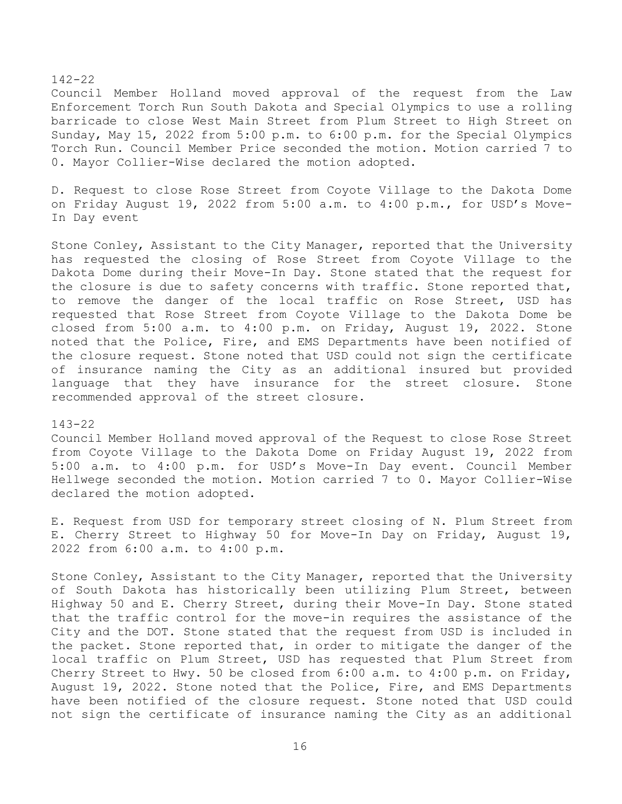### 142-22

Council Member Holland moved approval of the request from the Law Enforcement Torch Run South Dakota and Special Olympics to use a rolling barricade to close West Main Street from Plum Street to High Street on Sunday, May 15, 2022 from 5:00 p.m. to 6:00 p.m. for the Special Olympics Torch Run. Council Member Price seconded the motion. Motion carried 7 to 0. Mayor Collier-Wise declared the motion adopted.

D. Request to close Rose Street from Coyote Village to the Dakota Dome on Friday August 19, 2022 from 5:00 a.m. to 4:00 p.m., for USD's Move-In Day event

Stone Conley, Assistant to the City Manager, reported that the University has requested the closing of Rose Street from Coyote Village to the Dakota Dome during their Move-In Day. Stone stated that the request for the closure is due to safety concerns with traffic. Stone reported that, to remove the danger of the local traffic on Rose Street, USD has requested that Rose Street from Coyote Village to the Dakota Dome be closed from 5:00 a.m. to 4:00 p.m. on Friday, August 19, 2022. Stone noted that the Police, Fire, and EMS Departments have been notified of the closure request. Stone noted that USD could not sign the certificate of insurance naming the City as an additional insured but provided language that they have insurance for the street closure. Stone recommended approval of the street closure.

#### 143-22

Council Member Holland moved approval of the Request to close Rose Street from Coyote Village to the Dakota Dome on Friday August 19, 2022 from 5:00 a.m. to 4:00 p.m. for USD's Move-In Day event. Council Member Hellwege seconded the motion. Motion carried 7 to 0. Mayor Collier-Wise declared the motion adopted.

E. Request from USD for temporary street closing of N. Plum Street from E. Cherry Street to Highway 50 for Move-In Day on Friday, August 19, 2022 from 6:00 a.m. to 4:00 p.m.

Stone Conley, Assistant to the City Manager, reported that the University of South Dakota has historically been utilizing Plum Street, between Highway 50 and E. Cherry Street, during their Move-In Day. Stone stated that the traffic control for the move-in requires the assistance of the City and the DOT. Stone stated that the request from USD is included in the packet. Stone reported that, in order to mitigate the danger of the local traffic on Plum Street, USD has requested that Plum Street from Cherry Street to Hwy. 50 be closed from 6:00 a.m. to 4:00 p.m. on Friday, August 19, 2022. Stone noted that the Police, Fire, and EMS Departments have been notified of the closure request. Stone noted that USD could not sign the certificate of insurance naming the City as an additional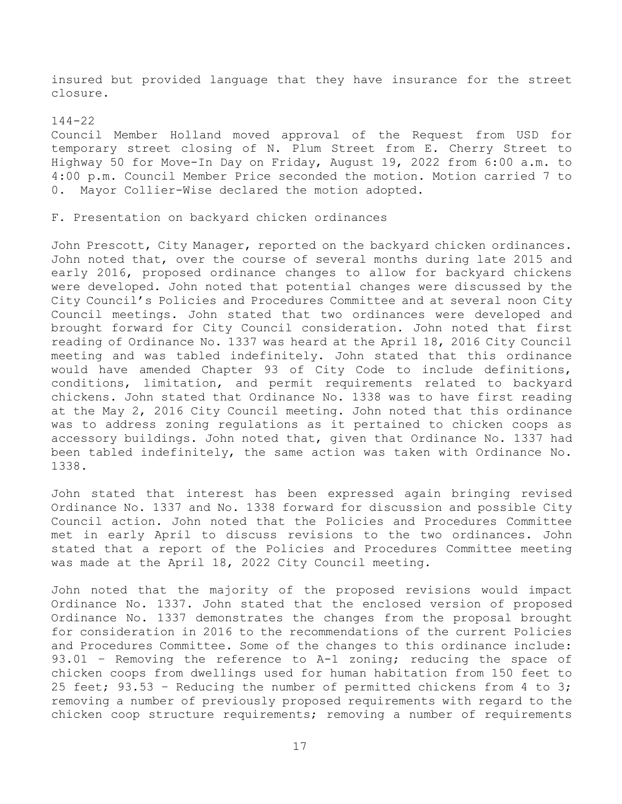insured but provided language that they have insurance for the street closure.

#### 144-22

Council Member Holland moved approval of the Request from USD for temporary street closing of N. Plum Street from E. Cherry Street to Highway 50 for Move-In Day on Friday, August 19, 2022 from 6:00 a.m. to 4:00 p.m. Council Member Price seconded the motion. Motion carried 7 to 0. Mayor Collier-Wise declared the motion adopted.

# F. Presentation on backyard chicken ordinances

John Prescott, City Manager, reported on the backyard chicken ordinances. John noted that, over the course of several months during late 2015 and early 2016, proposed ordinance changes to allow for backyard chickens were developed. John noted that potential changes were discussed by the City Council's Policies and Procedures Committee and at several noon City Council meetings. John stated that two ordinances were developed and brought forward for City Council consideration. John noted that first reading of Ordinance No. 1337 was heard at the April 18, 2016 City Council meeting and was tabled indefinitely. John stated that this ordinance would have amended Chapter 93 of City Code to include definitions, conditions, limitation, and permit requirements related to backyard chickens. John stated that Ordinance No. 1338 was to have first reading at the May 2, 2016 City Council meeting. John noted that this ordinance was to address zoning regulations as it pertained to chicken coops as accessory buildings. John noted that, given that Ordinance No. 1337 had been tabled indefinitely, the same action was taken with Ordinance No. 1338.

John stated that interest has been expressed again bringing revised Ordinance No. 1337 and No. 1338 forward for discussion and possible City Council action. John noted that the Policies and Procedures Committee met in early April to discuss revisions to the two ordinances. John stated that a report of the Policies and Procedures Committee meeting was made at the April 18, 2022 City Council meeting.

John noted that the majority of the proposed revisions would impact Ordinance No. 1337. John stated that the enclosed version of proposed Ordinance No. 1337 demonstrates the changes from the proposal brought for consideration in 2016 to the recommendations of the current Policies and Procedures Committee. Some of the changes to this ordinance include: 93.01 - Removing the reference to A-1 zoning; reducing the space of chicken coops from dwellings used for human habitation from 150 feet to 25 feet; 93.53 – Reducing the number of permitted chickens from 4 to 3; removing a number of previously proposed requirements with regard to the chicken coop structure requirements; removing a number of requirements

17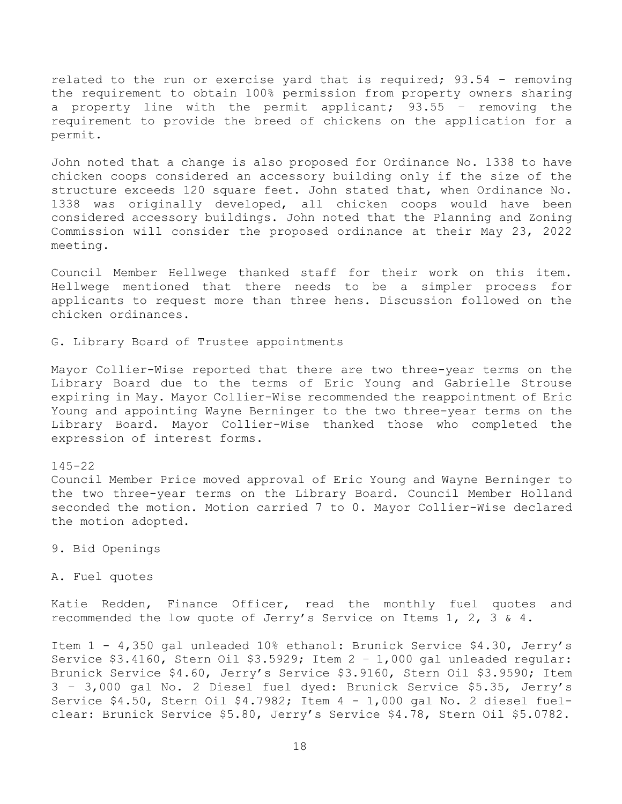related to the run or exercise yard that is required; 93.54 – removing the requirement to obtain 100% permission from property owners sharing a property line with the permit applicant; 93.55 – removing the requirement to provide the breed of chickens on the application for a permit.

John noted that a change is also proposed for Ordinance No. 1338 to have chicken coops considered an accessory building only if the size of the structure exceeds 120 square feet. John stated that, when Ordinance No. 1338 was originally developed, all chicken coops would have been considered accessory buildings. John noted that the Planning and Zoning Commission will consider the proposed ordinance at their May 23, 2022 meeting.

Council Member Hellwege thanked staff for their work on this item. Hellwege mentioned that there needs to be a simpler process for applicants to request more than three hens. Discussion followed on the chicken ordinances.

G. Library Board of Trustee appointments

Mayor Collier-Wise reported that there are two three-year terms on the Library Board due to the terms of Eric Young and Gabrielle Strouse expiring in May. Mayor Collier-Wise recommended the reappointment of Eric Young and appointing Wayne Berninger to the two three-year terms on the Library Board. Mayor Collier-Wise thanked those who completed the expression of interest forms.

#### 145-22

Council Member Price moved approval of Eric Young and Wayne Berninger to the two three-year terms on the Library Board. Council Member Holland seconded the motion. Motion carried 7 to 0. Mayor Collier-Wise declared the motion adopted.

9. Bid Openings

A. Fuel quotes

Katie Redden, Finance Officer, read the monthly fuel quotes and recommended the low quote of Jerry's Service on Items 1, 2, 3 & 4.

Item 1 - 4,350 gal unleaded 10% ethanol: Brunick Service \$4.30, Jerry's Service \$3.4160, Stern Oil \$3.5929; Item 2 – 1,000 gal unleaded regular: Brunick Service \$4.60, Jerry's Service \$3.9160, Stern Oil \$3.9590; Item 3 – 3,000 gal No. 2 Diesel fuel dyed: Brunick Service \$5.35, Jerry's Service \$4.50, Stern Oil \$4.7982; Item 4 - 1,000 gal No. 2 diesel fuelclear: Brunick Service \$5.80, Jerry's Service \$4.78, Stern Oil \$5.0782.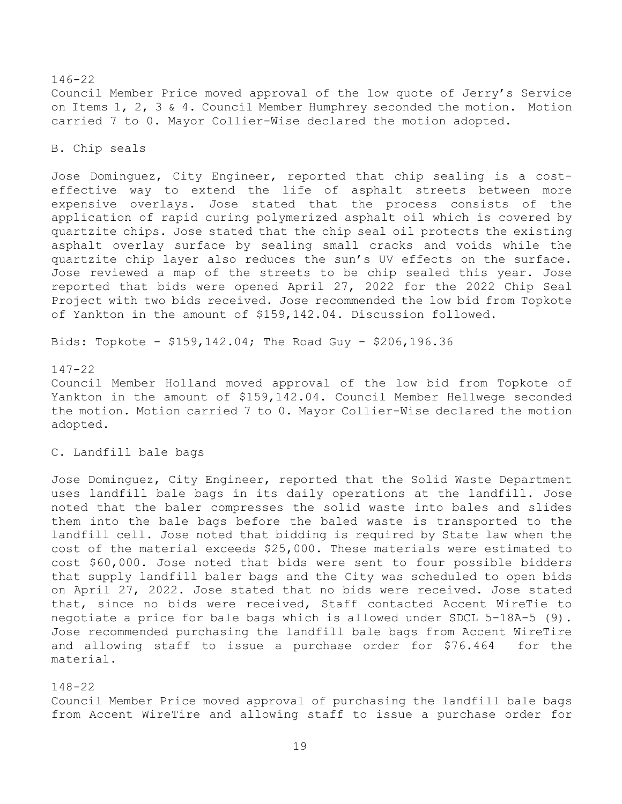# 146-22 Council Member Price moved approval of the low quote of Jerry's Service on Items 1, 2, 3 & 4. Council Member Humphrey seconded the motion. Motion carried 7 to 0. Mayor Collier-Wise declared the motion adopted.

### B. Chip seals

Jose Dominguez, City Engineer, reported that chip sealing is a costeffective way to extend the life of asphalt streets between more expensive overlays. Jose stated that the process consists of the application of rapid curing polymerized asphalt oil which is covered by quartzite chips. Jose stated that the chip seal oil protects the existing asphalt overlay surface by sealing small cracks and voids while the quartzite chip layer also reduces the sun's UV effects on the surface. Jose reviewed a map of the streets to be chip sealed this year. Jose reported that bids were opened April 27, 2022 for the 2022 Chip Seal Project with two bids received. Jose recommended the low bid from Topkote of Yankton in the amount of \$159,142.04. Discussion followed.

Bids: Topkote - \$159,142.04; The Road Guy - \$206,196.36

### 147-22

Council Member Holland moved approval of the low bid from Topkote of Yankton in the amount of \$159,142.04. Council Member Hellwege seconded the motion. Motion carried 7 to 0. Mayor Collier-Wise declared the motion adopted.

## C. Landfill bale bags

Jose Dominguez, City Engineer, reported that the Solid Waste Department uses landfill bale bags in its daily operations at the landfill. Jose noted that the baler compresses the solid waste into bales and slides them into the bale bags before the baled waste is transported to the landfill cell. Jose noted that bidding is required by State law when the cost of the material exceeds \$25,000. These materials were estimated to cost \$60,000. Jose noted that bids were sent to four possible bidders that supply landfill baler bags and the City was scheduled to open bids on April 27, 2022. Jose stated that no bids were received. Jose stated that, since no bids were received, Staff contacted Accent WireTie to negotiate a price for bale bags which is allowed under SDCL 5-18A-5 (9). Jose recommended purchasing the landfill bale bags from Accent WireTire and allowing staff to issue a purchase order for \$76.464 for the material.

# 148-22

Council Member Price moved approval of purchasing the landfill bale bags from Accent WireTire and allowing staff to issue a purchase order for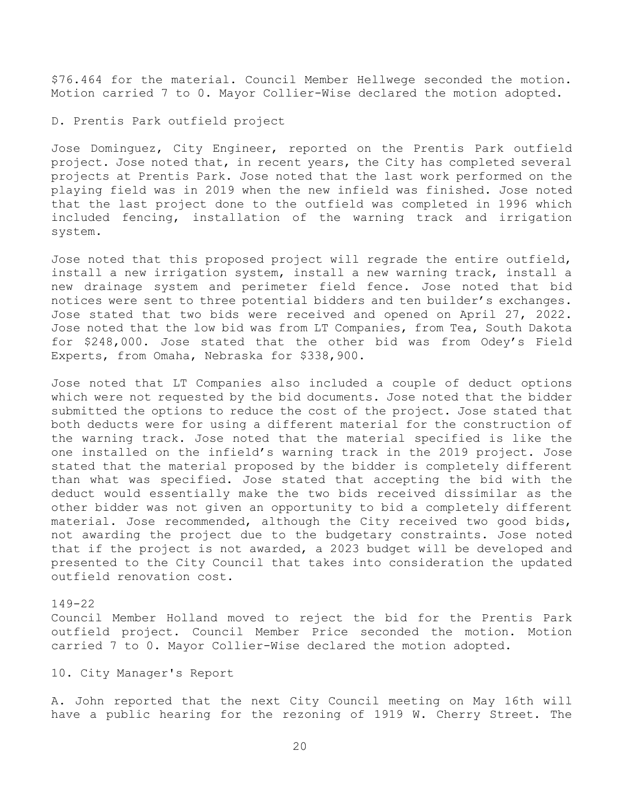\$76.464 for the material. Council Member Hellwege seconded the motion. Motion carried 7 to 0. Mayor Collier-Wise declared the motion adopted.

### D. Prentis Park outfield project

Jose Dominguez, City Engineer, reported on the Prentis Park outfield project. Jose noted that, in recent years, the City has completed several projects at Prentis Park. Jose noted that the last work performed on the playing field was in 2019 when the new infield was finished. Jose noted that the last project done to the outfield was completed in 1996 which included fencing, installation of the warning track and irrigation system.

Jose noted that this proposed project will regrade the entire outfield, install a new irrigation system, install a new warning track, install a new drainage system and perimeter field fence. Jose noted that bid notices were sent to three potential bidders and ten builder's exchanges. Jose stated that two bids were received and opened on April 27, 2022. Jose noted that the low bid was from LT Companies, from Tea, South Dakota for \$248,000. Jose stated that the other bid was from Odey's Field Experts, from Omaha, Nebraska for \$338,900.

Jose noted that LT Companies also included a couple of deduct options which were not requested by the bid documents. Jose noted that the bidder submitted the options to reduce the cost of the project. Jose stated that both deducts were for using a different material for the construction of the warning track. Jose noted that the material specified is like the one installed on the infield's warning track in the 2019 project. Jose stated that the material proposed by the bidder is completely different than what was specified. Jose stated that accepting the bid with the deduct would essentially make the two bids received dissimilar as the other bidder was not given an opportunity to bid a completely different material. Jose recommended, although the City received two good bids, not awarding the project due to the budgetary constraints. Jose noted that if the project is not awarded, a 2023 budget will be developed and presented to the City Council that takes into consideration the updated outfield renovation cost.

### 149-22

Council Member Holland moved to reject the bid for the Prentis Park outfield project. Council Member Price seconded the motion. Motion carried 7 to 0. Mayor Collier-Wise declared the motion adopted.

# 10. City Manager's Report

A. John reported that the next City Council meeting on May 16th will have a public hearing for the rezoning of 1919 W. Cherry Street. The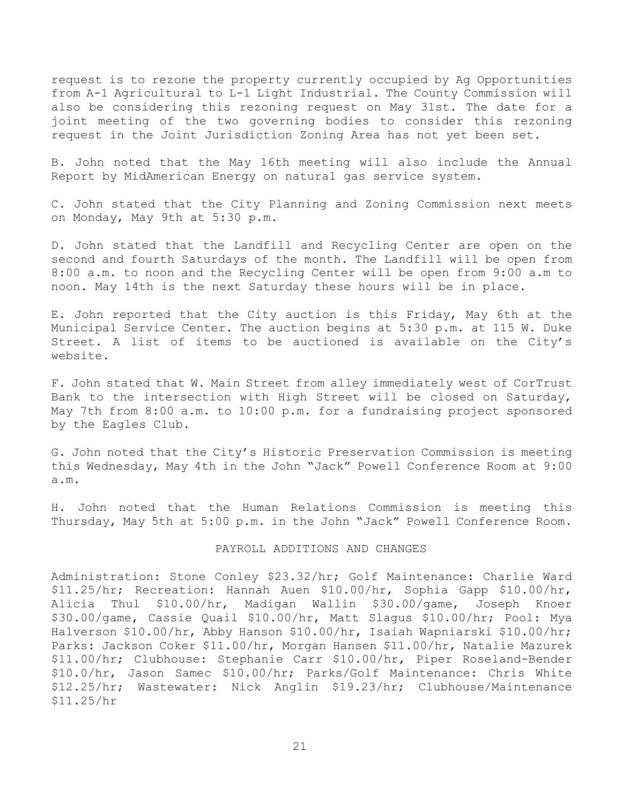request is to rezone the property currently occupied by Ag Opportunities from A-1 Agricultural to L-1 Light Industrial. The County Commission will also be considering this rezoning request on May 31st. The date for a joint meeting of the two governing bodies to consider this rezoning request in the Joint Jurisdiction Zoning Area has not yet been set.

B. John noted that the May 16th meeting will also include the Annual Report by MidAmerican Energy on natural gas service system.

C. John stated that the City Planning and Zoning Commission next meets on Monday, May 9th at 5:30 p.m.

D. John stated that the Landfill and Recycling Center are open on the second and fourth Saturdays of the month. The Landfill will be open from 8:00 a.m. to noon and the Recycling Center will be open from 9:00 a.m to noon. May 14th is the next Saturday these hours will be in place.

E. John reported that the City auction is this Friday, May 6th at the Municipal Service Center. The auction begins at 5:30 p.m. at 115 W. Duke Street. A list of items to be auctioned is available on the City's website.

F. John stated that W. Main Street from alley immediately west of CorTrust Bank to the intersection with High Street will be closed on Saturday, May 7th from 8:00 a.m. to 10:00 p.m. for a fundraising project sponsored by the Eagles Club.

G. John noted that the City's Historic Preservation Commission is meeting this Wednesday, May 4th in the John "Jack" Powell Conference Room at 9:00 a.m.

H. John noted that the Human Relations Commission is meeting this Thursday, May 5th at 5:00 p.m. in the John "Jack" Powell Conference Room.

#### PAYROLL ADDITIONS AND CHANGES

Administration: Stone Conley \$23.32/hr; Golf Maintenance: Charlie Ward \$11.25/hr; Recreation: Hannah Auen \$10.00/hr, Sophia Gapp \$10.00/hr, Alicia Thul \$10.00/hr, Madigan Wallin \$30.00/game, Joseph Knoer \$30.00/game, Cassie Quail \$10.00/hr, Matt Slagus \$10.00/hr; Pool: Mya Halverson \$10.00/hr, Abby Hanson \$10.00/hr, Isaiah Wapniarski \$10.00/hr; Parks: Jackson Coker \$11.00/hr, Morgan Hansen \$11.00/hr, Natalie Mazurek \$11.00/hr; Clubhouse: Stephanie Carr \$10.00/hr, Piper Roseland-Bender \$10.0/hr, Jason Samec \$10.00/hr; Parks/Golf Maintenance: Chris White \$12.25/hr; Wastewater: Nick Anglin \$19.23/hr; Clubhouse/Maintenance \$11.25/hr

21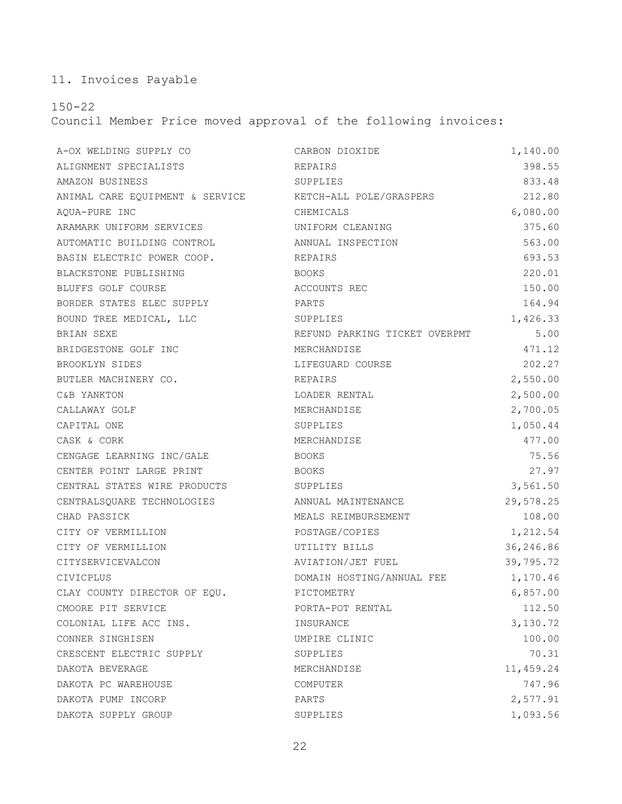11. Invoices Payable

150-22

Council Member Price moved approval of the following invoices:

| A-OX WELDING SUPPLY CO                                  | CARBON DIOXIDE                | 1,140.00  |
|---------------------------------------------------------|-------------------------------|-----------|
| ALIGNMENT SPECIALISTS                                   | REPAIRS                       | 398.55    |
| AMAZON BUSINESS                                         | SUPPLIES                      | 833.48    |
| ANIMAL CARE EQUIPMENT & SERVICE KETCH-ALL POLE/GRASPERS |                               | 212.80    |
| AQUA-PURE INC                                           | CHEMICALS                     | 6,080.00  |
| ARAMARK UNIFORM SERVICES                                | UNIFORM CLEANING              | 375.60    |
| AUTOMATIC BUILDING CONTROL                              | ANNUAL INSPECTION             | 563.00    |
| BASIN ELECTRIC POWER COOP.                              | REPAIRS                       | 693.53    |
| BLACKSTONE PUBLISHING                                   | BOOKS                         | 220.01    |
| BLUFFS GOLF COURSE                                      | ACCOUNTS REC                  | 150.00    |
| BORDER STATES ELEC SUPPLY                               | PARTS                         | 164.94    |
| BOUND TREE MEDICAL, LLC                                 | SUPPLIES                      | 1,426.33  |
| BRIAN SEXE                                              | REFUND PARKING TICKET OVERPMT | 5.00      |
| BRIDGESTONE GOLF INC                                    | MERCHANDISE                   | 471.12    |
| BROOKLYN SIDES                                          | LIFEGUARD COURSE              | 202.27    |
| BUTLER MACHINERY CO.                                    | REPAIRS                       | 2,550.00  |
| C&B YANKTON                                             | LOADER RENTAL                 | 2,500.00  |
| CALLAWAY GOLF                                           | MERCHANDISE                   | 2,700.05  |
| CAPITAL ONE                                             | SUPPLIES                      | 1,050.44  |
| CASK & CORK                                             | MERCHANDISE                   | 477.00    |
| CENGAGE LEARNING INC/GALE                               | BOOKS                         | 75.56     |
| CENTER POINT LARGE PRINT                                | BOOKS                         | 27.97     |
| CENTRAL STATES WIRE PRODUCTS                            | SUPPLIES                      | 3,561.50  |
| CENTRALSQUARE TECHNOLOGIES ANNUAL MAINTENANCE           |                               | 29,578.25 |
| CHAD PASSICK                                            | MEALS REIMBURSEMENT           | 108.00    |
| CITY OF VERMILLION                                      | POSTAGE/COPIES                | 1,212.54  |
| CITY OF VERMILLION                                      | UTILITY BILLS                 | 36,246.86 |
| CITYSERVICEVALCON                                       | AVIATION/JET FUEL             | 39,795.72 |
| CIVICPLUS                                               | DOMAIN HOSTING/ANNUAL FEE     | 1,170.46  |
| CLAY COUNTY DIRECTOR OF EQU. PICTOMETRY                 |                               | 6,857.00  |
| CMOORE PIT SERVICE                                      | PORTA-POT RENTAL              | 112.50    |
| COLONIAL LIFE ACC INS.                                  | INSURANCE                     | 3,130.72  |
| CONNER SINGHISEN                                        | UMPIRE CLINIC                 | 100.00    |
| CRESCENT ELECTRIC SUPPLY                                | SUPPLIES                      | 70.31     |
| DAKOTA BEVERAGE                                         | MERCHANDISE                   | 11,459.24 |
| DAKOTA PC WAREHOUSE                                     | COMPUTER                      | 747.96    |
| DAKOTA PUMP INCORP                                      | PARTS                         | 2,577.91  |
| DAKOTA SUPPLY GROUP                                     | SUPPLIES                      | 1,093.56  |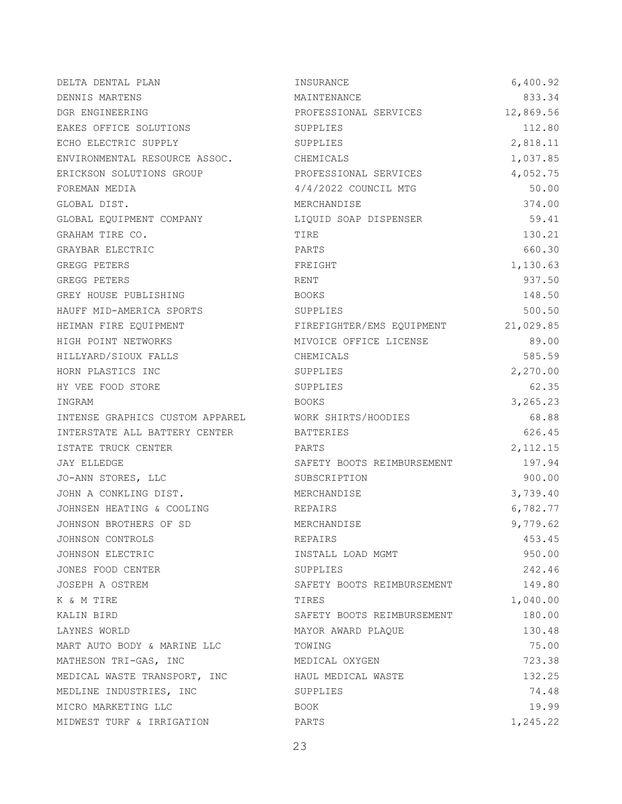| DELTA DENTAL PLAN                                   | INSURANCE                  | 6,400.92  |
|-----------------------------------------------------|----------------------------|-----------|
| DENNIS MARTENS                                      | MAINTENANCE                | 833.34    |
| DGR ENGINEERING                                     | PROFESSIONAL SERVICES      | 12,869.56 |
| EAKES OFFICE SOLUTIONS                              | SUPPLIES                   | 112.80    |
| ECHO ELECTRIC SUPPLY                                | SUPPLIES                   | 2,818.11  |
| ENVIRONMENTAL RESOURCE ASSOC. CHEMICALS             |                            | 1,037.85  |
| ERICKSON SOLUTIONS GROUP                            | PROFESSIONAL SERVICES      | 4,052.75  |
| FOREMAN MEDIA                                       | 4/4/2022 COUNCIL MTG       | 50.00     |
| GLOBAL DIST.                                        | MERCHANDISE                | 374.00    |
| GLOBAL EQUIPMENT COMPANY                            | LIQUID SOAP DISPENSER      | 59.41     |
| GRAHAM TIRE CO.                                     | TIRE                       | 130.21    |
| GRAYBAR ELECTRIC                                    | PARTS                      | 660.30    |
| GREGG PETERS                                        | FREIGHT                    | 1,130.63  |
| GREGG PETERS                                        | RENT                       | 937.50    |
| GREY HOUSE PUBLISHING                               | BOOKS                      | 148.50    |
| HAUFF MID-AMERICA SPORTS                            | SUPPLIES                   | 500.50    |
| HEIMAN FIRE EOUIPMENT                               | FIREFIGHTER/EMS EQUIPMENT  | 21,029.85 |
| HIGH POINT NETWORKS                                 | MIVOICE OFFICE LICENSE     | 89.00     |
| HILLYARD/SIOUX FALLS                                | CHEMICALS                  | 585.59    |
| HORN PLASTICS INC                                   | SUPPLIES                   | 2,270.00  |
| HY VEE FOOD STORE                                   | SUPPLIES                   | 62.35     |
| INGRAM                                              | BOOKS                      | 3,265.23  |
| INTENSE GRAPHICS CUSTOM APPAREL WORK SHIRTS/HOODIES |                            | 68.88     |
| INTERSTATE ALL BATTERY CENTER                       | BATTERIES                  | 626.45    |
| ISTATE TRUCK CENTER                                 | PARTS                      | 2, 112.15 |
| JAY ELLEDGE                                         | SAFETY BOOTS REIMBURSEMENT | 197.94    |
| JO-ANN STORES, LLC                                  | SUBSCRIPTION               | 900.00    |
| JOHN A CONKLING DIST.                               | MERCHANDISE                | 3,739.40  |
| JOHNSEN HEATING & COOLING                           | REPAIRS                    | 6,782.77  |
| JOHNSON BROTHERS OF SD                              | MERCHANDISE                | 9,779.62  |
| JOHNSON CONTROLS                                    | REPAIRS                    | 453.45    |
| JOHNSON ELECTRIC                                    | INSTALL LOAD MGMT          | 950.00    |
| JONES FOOD CENTER                                   | SUPPLIES                   | 242.46    |
| JOSEPH A OSTREM                                     | SAFETY BOOTS REIMBURSEMENT | 149.80    |
| K & M TIRE                                          | TIRES                      | 1,040.00  |
| KALIN BIRD                                          | SAFETY BOOTS REIMBURSEMENT | 180.00    |
| LAYNES WORLD                                        | MAYOR AWARD PLAQUE         | 130.48    |
| MART AUTO BODY & MARINE LLC                         | TOWING                     | 75.00     |
| MATHESON TRI-GAS, INC                               | MEDICAL OXYGEN             | 723.38    |
| MEDICAL WASTE TRANSPORT, INC                        | HAUL MEDICAL WASTE         | 132.25    |
| MEDLINE INDUSTRIES, INC                             | SUPPLIES                   | 74.48     |
| MICRO MARKETING LLC                                 | BOOK                       | 19.99     |
| MIDWEST TURF & IRRIGATION                           | PARTS                      | 1,245.22  |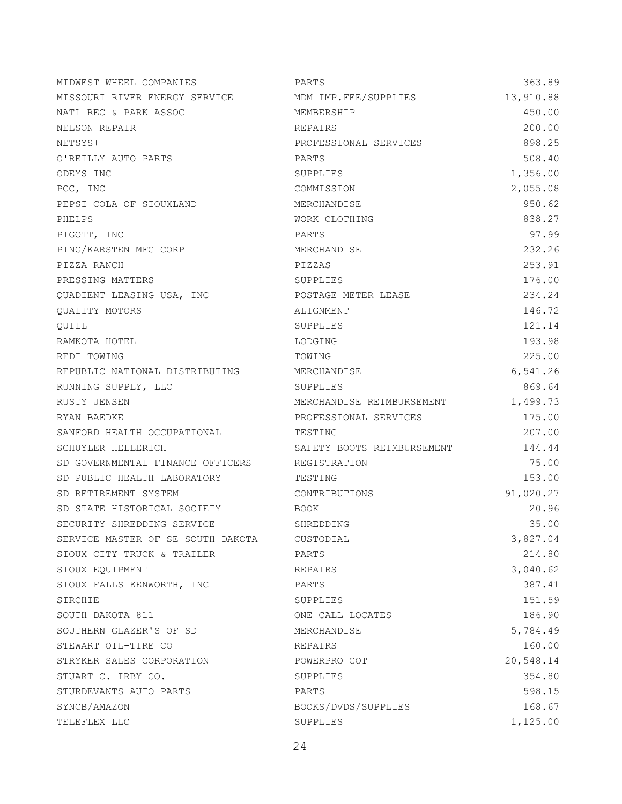| MIDWEST WHEEL COMPANIES           | PARTS                      | 363.89    |
|-----------------------------------|----------------------------|-----------|
| MISSOURI RIVER ENERGY SERVICE     | MDM IMP.FEE/SUPPLIES       | 13,910.88 |
| NATL REC & PARK ASSOC             | MEMBERSHIP                 | 450.00    |
| NELSON REPAIR                     | REPAIRS                    | 200.00    |
| NETSYS+                           | PROFESSIONAL SERVICES      | 898.25    |
| O'REILLY AUTO PARTS               | PARTS                      | 508.40    |
| ODEYS INC                         | SUPPLIES                   | 1,356.00  |
| PCC, INC                          | COMMISSION                 | 2,055.08  |
| PEPSI COLA OF SIOUXLAND           | MERCHANDISE                | 950.62    |
| PHELPS                            | WORK CLOTHING              | 838.27    |
| PIGOTT, INC                       | PARTS                      | 97.99     |
| PING/KARSTEN MFG CORP             | MERCHANDISE                | 232.26    |
| PIZZA RANCH                       | PIZZAS                     | 253.91    |
| PRESSING MATTERS                  | SUPPLIES                   | 176.00    |
| QUADIENT LEASING USA, INC         | POSTAGE METER LEASE        | 234.24    |
| QUALITY MOTORS                    | ALIGNMENT                  | 146.72    |
| OUILL                             | SUPPLIES                   | 121.14    |
| RAMKOTA HOTEL                     | LODGING                    | 193.98    |
| REDI TOWING                       | TOWING                     | 225.00    |
| REPUBLIC NATIONAL DISTRIBUTING    | MERCHANDISE                | 6,541.26  |
| RUNNING SUPPLY, LLC               | SUPPLIES                   | 869.64    |
| RUSTY JENSEN                      | MERCHANDISE REIMBURSEMENT  | 1,499.73  |
| RYAN BAEDKE                       | PROFESSIONAL SERVICES      | 175.00    |
| SANFORD HEALTH OCCUPATIONAL       | TESTING                    | 207.00    |
| SCHUYLER HELLERICH                | SAFETY BOOTS REIMBURSEMENT | 144.44    |
| SD GOVERNMENTAL FINANCE OFFICERS  | REGISTRATION               | 75.00     |
| SD PUBLIC HEALTH LABORATORY       | TESTING                    | 153.00    |
| SD RETIREMENT SYSTEM              | CONTRIBUTIONS              | 91,020.27 |
| SD STATE HISTORICAL SOCIETY       | BOOK                       | 20.96     |
| SECURITY SHREDDING SERVICE        | SHREDDING                  | 35.00     |
| SERVICE MASTER OF SE SOUTH DAKOTA | CUSTODIAL                  | 3,827.04  |
| SIOUX CITY TRUCK & TRAILER        | PARTS                      | 214.80    |
| SIOUX EOUIPMENT                   | REPAIRS                    | 3,040.62  |
| SIOUX FALLS KENWORTH, INC         | PARTS                      | 387.41    |
| SIRCHIE                           | SUPPLIES                   | 151.59    |
| SOUTH DAKOTA 811                  | ONE CALL LOCATES           | 186.90    |
| SOUTHERN GLAZER'S OF SD           | MERCHANDISE                | 5,784.49  |
| STEWART OIL-TIRE CO               | REPAIRS                    | 160.00    |
| STRYKER SALES CORPORATION         | POWERPRO COT               | 20,548.14 |
| STUART C. IRBY CO.                | SUPPLIES                   | 354.80    |
| STURDEVANTS AUTO PARTS            | PARTS                      | 598.15    |
| SYNCB/AMAZON                      | BOOKS/DVDS/SUPPLIES        | 168.67    |
| TELEFLEX LLC                      | SUPPLIES                   | 1,125.00  |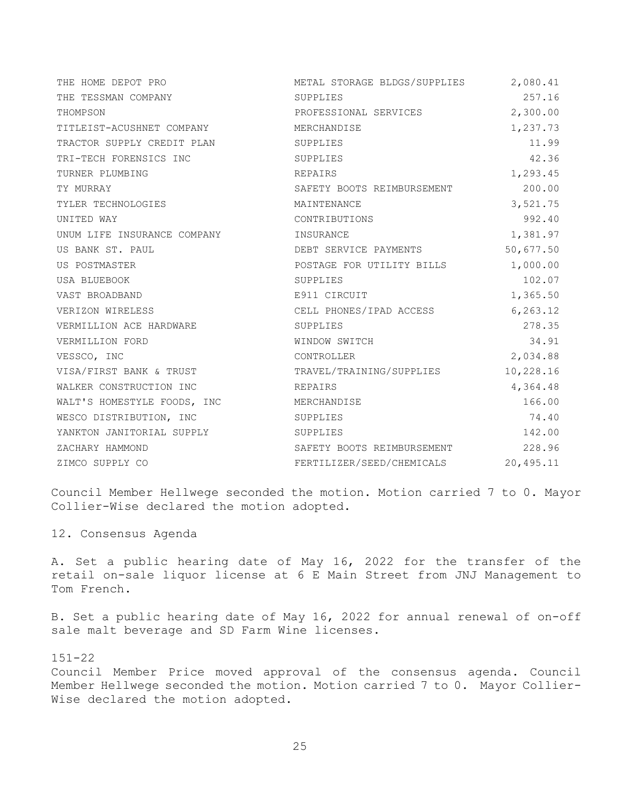| THE HOME DEPOT PRO          | METAL STORAGE BLDGS/SUPPLIES | 2,080.41  |
|-----------------------------|------------------------------|-----------|
| THE TESSMAN COMPANY         | SUPPLIES                     | 257.16    |
| THOMPSON                    | PROFESSIONAL SERVICES        | 2,300.00  |
| TITLEIST-ACUSHNET COMPANY   | MERCHANDISE                  | 1,237.73  |
| TRACTOR SUPPLY CREDIT PLAN  | SUPPLIES                     | 11.99     |
| TRI-TECH FORENSICS INC      | SUPPLIES                     | 42.36     |
| TURNER PLUMBING             | REPAIRS                      | 1,293.45  |
| TY MURRAY                   | SAFETY BOOTS REIMBURSEMENT   | 200.00    |
| TYLER TECHNOLOGIES          | MAINTENANCE                  | 3,521.75  |
| UNITED WAY                  | CONTRIBUTIONS                | 992.40    |
| UNUM LIFE INSURANCE COMPANY | INSURANCE                    | 1,381.97  |
| US BANK ST. PAUL            | DEBT SERVICE PAYMENTS        | 50,677.50 |
| US POSTMASTER               | POSTAGE FOR UTILITY BILLS    | 1,000.00  |
| USA BLUEBOOK                | SUPPLIES                     | 102.07    |
| VAST BROADBAND              | E911 CIRCUIT                 | 1,365.50  |
| VERIZON WIRELESS            | CELL PHONES/IPAD ACCESS      | 6, 263.12 |
| VERMILLION ACE HARDWARE     | SUPPLIES                     | 278.35    |
| VERMILLION FORD             | WINDOW SWITCH                | 34.91     |
| VESSCO, INC                 | CONTROLLER                   | 2,034.88  |
| VISA/FIRST BANK & TRUST     | TRAVEL/TRAINING/SUPPLIES     | 10,228.16 |
| WALKER CONSTRUCTION INC     | REPAIRS                      | 4,364.48  |
| WALT'S HOMESTYLE FOODS, INC | MERCHANDISE                  | 166.00    |
| WESCO DISTRIBUTION, INC     | SUPPLIES                     | 74.40     |
| YANKTON JANITORIAL SUPPLY   | SUPPLIES                     | 142.00    |
| ZACHARY HAMMOND             | SAFETY BOOTS REIMBURSEMENT   | 228.96    |
| ZIMCO SUPPLY CO             | FERTILIZER/SEED/CHEMICALS    | 20,495.11 |

Council Member Hellwege seconded the motion. Motion carried 7 to 0. Mayor Collier-Wise declared the motion adopted.

12. Consensus Agenda

A. Set a public hearing date of May 16, 2022 for the transfer of the retail on-sale liquor license at 6 E Main Street from JNJ Management to Tom French.

B. Set a public hearing date of May 16, 2022 for annual renewal of on-off sale malt beverage and SD Farm Wine licenses.

151-22

Council Member Price moved approval of the consensus agenda. Council Member Hellwege seconded the motion. Motion carried 7 to 0. Mayor Collier-Wise declared the motion adopted.